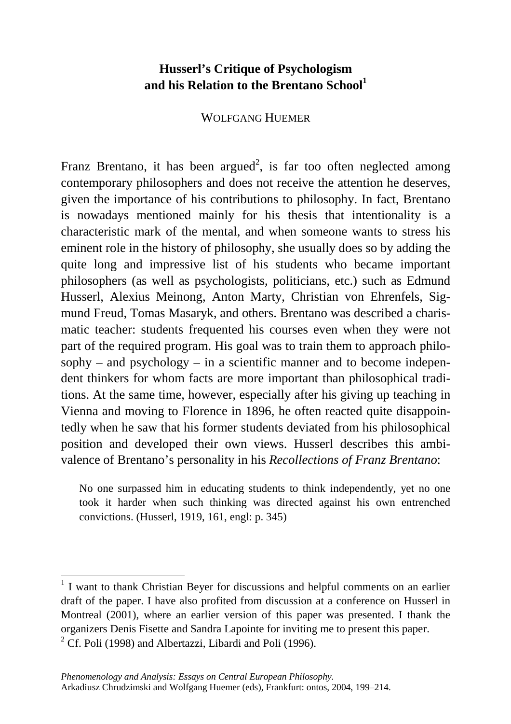## **Husserl's Critique of Psychologism**  and his Relation to the Brentano School<sup>1</sup>

WOLFGANG HUEMER

Franz Brentano, it has been argued<sup>2</sup>, is far too often neglected among contemporary philosophers and does not receive the attention he deserves, given the importance of his contributions to philosophy. In fact, Brentano is nowadays mentioned mainly for his thesis that intentionality is a characteristic mark of the mental, and when someone wants to stress his eminent role in the history of philosophy, she usually does so by adding the quite long and impressive list of his students who became important philosophers (as well as psychologists, politicians, etc.) such as Edmund Husserl, Alexius Meinong, Anton Marty, Christian von Ehrenfels, Sigmund Freud, Tomas Masaryk, and others. Brentano was described a charismatic teacher: students frequented his courses even when they were not part of the required program. His goal was to train them to approach philosophy – and psychology – in a scientific manner and to become independent thinkers for whom facts are more important than philosophical traditions. At the same time, however, especially after his giving up teaching in Vienna and moving to Florence in 1896, he often reacted quite disappointedly when he saw that his former students deviated from his philosophical position and developed their own views. Husserl describes this ambivalence of Brentano's personality in his *Recollections of Franz Brentano*:

No one surpassed him in educating students to think independently, yet no one took it harder when such thinking was directed against his own entrenched convictions. (Husserl, 1919, 161, engl: p. 345)

<sup>&</sup>lt;sup>1</sup> I want to thank Christian Beyer for discussions and helpful comments on an earlier draft of the paper. I have also profited from discussion at a conference on Husserl in Montreal (2001), where an earlier version of this paper was presented. I thank the organizers Denis Fisette and Sandra Lapointe for inviting me to present this paper. <sup>2</sup> Cf. Poli (1998) and Albertazzi, Libardi and Poli (1996).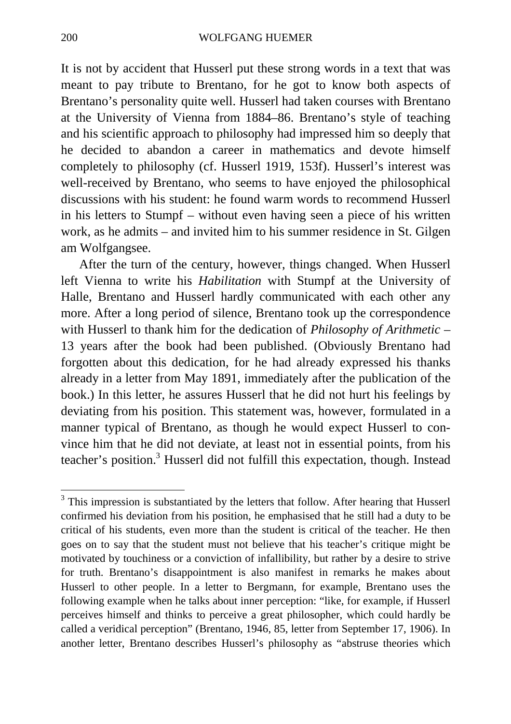It is not by accident that Husserl put these strong words in a text that was meant to pay tribute to Brentano, for he got to know both aspects of Brentano's personality quite well. Husserl had taken courses with Brentano at the University of Vienna from 1884–86. Brentano's style of teaching and his scientific approach to philosophy had impressed him so deeply that he decided to abandon a career in mathematics and devote himself completely to philosophy (cf. Husserl 1919, 153f). Husserl's interest was well-received by Brentano, who seems to have enjoyed the philosophical discussions with his student: he found warm words to recommend Husserl in his letters to Stumpf – without even having seen a piece of his written work, as he admits – and invited him to his summer residence in St. Gilgen am Wolfgangsee.

After the turn of the century, however, things changed. When Husserl left Vienna to write his *Habilitation* with Stumpf at the University of Halle, Brentano and Husserl hardly communicated with each other any more. After a long period of silence, Brentano took up the correspondence with Husserl to thank him for the dedication of *Philosophy of Arithmetic* – 13 years after the book had been published. (Obviously Brentano had forgotten about this dedication, for he had already expressed his thanks already in a letter from May 1891, immediately after the publication of the book.) In this letter, he assures Husserl that he did not hurt his feelings by deviating from his position. This statement was, however, formulated in a manner typical of Brentano, as though he would expect Husserl to convince him that he did not deviate, at least not in essential points, from his teacher's position.<sup>3</sup> Husserl did not fulfill this expectation, though. Instead

 $3$  This impression is substantiated by the letters that follow. After hearing that Husserl confirmed his deviation from his position, he emphasised that he still had a duty to be critical of his students, even more than the student is critical of the teacher. He then goes on to say that the student must not believe that his teacher's critique might be motivated by touchiness or a conviction of infallibility, but rather by a desire to strive for truth. Brentano's disappointment is also manifest in remarks he makes about Husserl to other people. In a letter to Bergmann, for example, Brentano uses the following example when he talks about inner perception: "like, for example, if Husserl perceives himself and thinks to perceive a great philosopher, which could hardly be called a veridical perception" (Brentano, 1946, 85, letter from September 17, 1906). In another letter, Brentano describes Husserl's philosophy as "abstruse theories which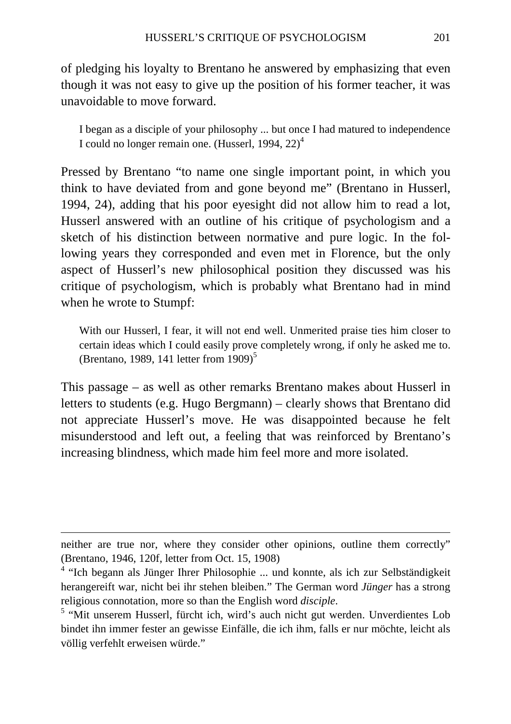of pledging his loyalty to Brentano he answered by emphasizing that even though it was not easy to give up the position of his former teacher, it was unavoidable to move forward.

I began as a disciple of your philosophy ... but once I had matured to independence I could no longer remain one. (Husserl, 1994,  $22)^4$ )

Pressed by Brentano "to name one single important point, in which you think to have deviated from and gone beyond me" (Brentano in Husserl, 1994, 24), adding that his poor eyesight did not allow him to read a lot, Husserl answered with an outline of his critique of psychologism and a sketch of his distinction between normative and pure logic. In the following years they corresponded and even met in Florence, but the only aspect of Husserl's new philosophical position they discussed was his critique of psychologism, which is probably what Brentano had in mind when he wrote to Stumpf:

With our Husserl, I fear, it will not end well. Unmerited praise ties him closer to certain ideas which I could easily prove completely wrong, if only he asked me to. (Brentano, 1989, 141 letter from  $1909$ )<sup>5</sup>

This passage – as well as other remarks Brentano makes about Husserl in letters to students (e.g. Hugo Bergmann) – clearly shows that Brentano did not appreciate Husserl's move. He was disappointed because he felt misunderstood and left out, a feeling that was reinforced by Brentano's increasing blindness, which made him feel more and more isolated.

neither are true nor, where they consider other opinions, outline them correctly" (Brentano, 1946, 120f, letter from Oct. 15, 1908)

<sup>&</sup>lt;sup>4</sup> "Ich begann als Jünger Ihrer Philosophie ... und konnte, als ich zur Selbständigkeit herangereift war, nicht bei ihr stehen bleiben." The German word *Jünger* has a strong religious connotation, more so than the English word *disciple*. 5

 $<sup>5</sup>$  "Mit unserem Husserl, fürcht ich, wird's auch nicht gut werden. Unverdientes Lob</sup> bindet ihn immer fester an gewisse Einfälle, die ich ihm, falls er nur möchte, leicht als völlig verfehlt erweisen würde."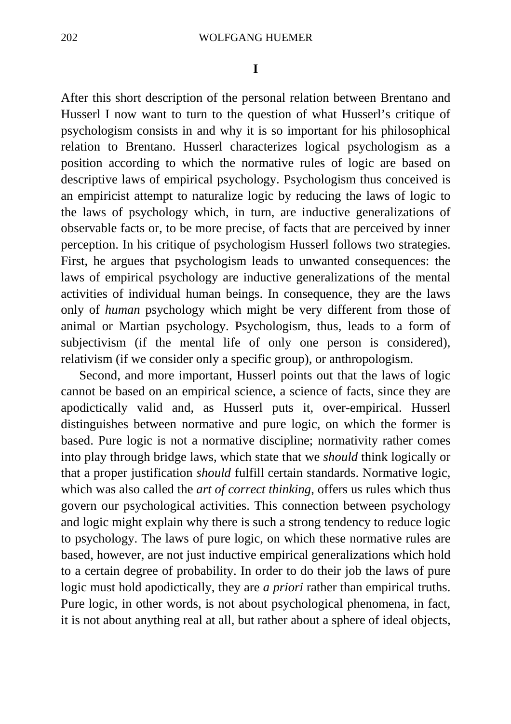**I** 

After this short description of the personal relation between Brentano and Husserl I now want to turn to the question of what Husserl's critique of psychologism consists in and why it is so important for his philosophical relation to Brentano. Husserl characterizes logical psychologism as a position according to which the normative rules of logic are based on descriptive laws of empirical psychology. Psychologism thus conceived is an empiricist attempt to naturalize logic by reducing the laws of logic to the laws of psychology which, in turn, are inductive generalizations of observable facts or, to be more precise, of facts that are perceived by inner perception. In his critique of psychologism Husserl follows two strategies. First, he argues that psychologism leads to unwanted consequences: the laws of empirical psychology are inductive generalizations of the mental activities of individual human beings. In consequence, they are the laws only of *human* psychology which might be very different from those of animal or Martian psychology. Psychologism, thus, leads to a form of subjectivism (if the mental life of only one person is considered), relativism (if we consider only a specific group), or anthropologism.

Second, and more important, Husserl points out that the laws of logic cannot be based on an empirical science, a science of facts, since they are apodictically valid and, as Husserl puts it, over-empirical. Husserl distinguishes between normative and pure logic, on which the former is based. Pure logic is not a normative discipline; normativity rather comes into play through bridge laws, which state that we *should* think logically or that a proper justification *should* fulfill certain standards. Normative logic, which was also called the *art of correct thinking*, offers us rules which thus govern our psychological activities. This connection between psychology and logic might explain why there is such a strong tendency to reduce logic to psychology. The laws of pure logic, on which these normative rules are based, however, are not just inductive empirical generalizations which hold to a certain degree of probability. In order to do their job the laws of pure logic must hold apodictically, they are *a priori* rather than empirical truths. Pure logic, in other words, is not about psychological phenomena, in fact, it is not about anything real at all, but rather about a sphere of ideal objects,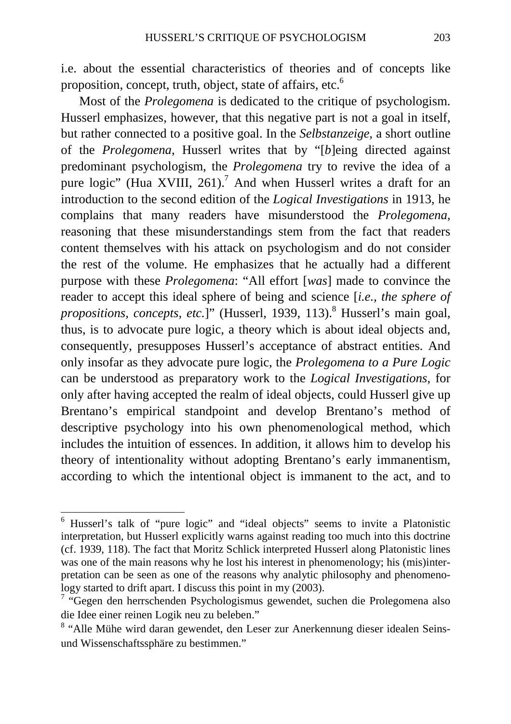i.e. about the essential characteristics of theories and of concepts like proposition, concept, truth, object, state of affairs, etc.<sup>6</sup>

Most of the *Prolegomena* is dedicated to the critique of psychologism. Husserl emphasizes, however, that this negative part is not a goal in itself, but rather connected to a positive goal. In the *Selbstanzeige*, a short outline of the *Prolegomena*, Husserl writes that by "[*b*]eing directed against predominant psychologism, the *Prolegomena* try to revive the idea of a pure logic" (Hua XVIII, 261).<sup>7</sup> And when Husserl writes a draft for an introduction to the second edition of the *Logical Investigations* in 1913, he complains that many readers have misunderstood the *Prolegomena*, reasoning that these misunderstandings stem from the fact that readers content themselves with his attack on psychologism and do not consider the rest of the volume. He emphasizes that he actually had a different purpose with these *Prolegomena*: "All effort [*was*] made to convince the reader to accept this ideal sphere of being and science [*i.e., the sphere of*  propositions, concepts, etc.]" (Husserl, 1939, 113).<sup>8</sup> Husserl's main goal, thus, is to advocate pure logic, a theory which is about ideal objects and, consequently, presupposes Husserl's acceptance of abstract entities. And only insofar as they advocate pure logic, the *Prolegomena to a Pure Logic* can be understood as preparatory work to the *Logical Investigations*, for only after having accepted the realm of ideal objects, could Husserl give up Brentano's empirical standpoint and develop Brentano's method of descriptive psychology into his own phenomenological method, which includes the intuition of essences. In addition, it allows him to develop his theory of intentionality without adopting Brentano's early immanentism, according to which the intentional object is immanent to the act, and to

<sup>&</sup>lt;sup>6</sup> Husserl's talk of "pure logic" and "ideal objects" seems to invite a Platonistic interpretation, but Husserl explicitly warns against reading too much into this doctrine (cf. 1939, 118). The fact that Moritz Schlick interpreted Husserl along Platonistic lines was one of the main reasons why he lost his interest in phenomenology; his (mis)interpretation can be seen as one of the reasons why analytic philosophy and phenomenology started to drift apart. I discuss this point in my (2003).

<sup>&</sup>lt;sup>7 "G</sup>egen den herrschenden Psychologismus gewendet, suchen die Prolegomena also die Idee einer reinen Logik neu zu beleben."

<sup>&</sup>lt;sup>8</sup> "Alle Mühe wird daran gewendet, den Leser zur Anerkennung dieser idealen Seinsund Wissenschaftssphäre zu bestimmen."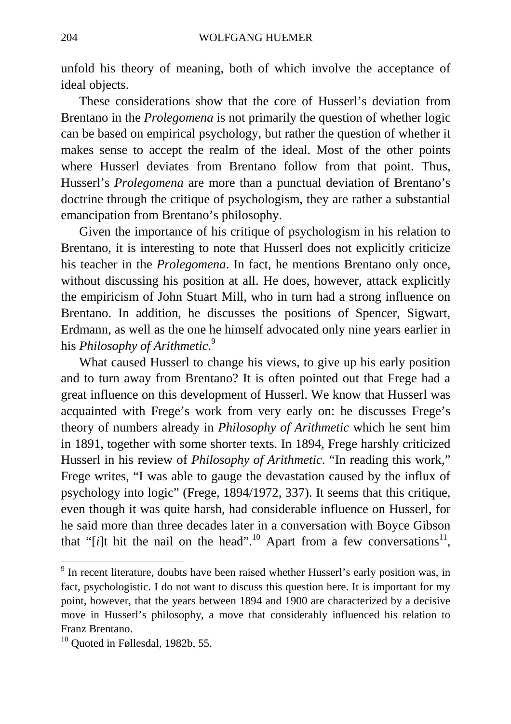unfold his theory of meaning, both of which involve the acceptance of ideal objects.

These considerations show that the core of Husserl's deviation from Brentano in the *Prolegomena* is not primarily the question of whether logic can be based on empirical psychology, but rather the question of whether it makes sense to accept the realm of the ideal. Most of the other points where Husserl deviates from Brentano follow from that point. Thus, Husserl's *Prolegomena* are more than a punctual deviation of Brentano's doctrine through the critique of psychologism, they are rather a substantial emancipation from Brentano's philosophy.

Given the importance of his critique of psychologism in his relation to Brentano, it is interesting to note that Husserl does not explicitly criticize his teacher in the *Prolegomena*. In fact, he mentions Brentano only once, without discussing his position at all. He does, however, attack explicitly the empiricism of John Stuart Mill, who in turn had a strong influence on Brentano. In addition, he discusses the positions of Spencer, Sigwart, Erdmann, as well as the one he himself advocated only nine years earlier in his *Philosophy of Arithmetic*. 9

What caused Husserl to change his views, to give up his early position and to turn away from Brentano? It is often pointed out that Frege had a great influence on this development of Husserl. We know that Husserl was acquainted with Frege's work from very early on: he discusses Frege's theory of numbers already in *Philosophy of Arithmetic* which he sent him in 1891, together with some shorter texts. In 1894, Frege harshly criticized Husserl in his review of *Philosophy of Arithmetic*. "In reading this work," Frege writes, "I was able to gauge the devastation caused by the influx of psychology into logic" (Frege, 1894/1972, 337). It seems that this critique, even though it was quite harsh, had considerable influence on Husserl, for he said more than three decades later in a conversation with Boyce Gibson that "[ $i$ ]t hit the nail on the head".<sup>10</sup> Apart from a few conversations<sup>11</sup>,

<sup>&</sup>lt;sup>9</sup> In recent literature, doubts have been raised whether Husserl's early position was, in fact, psychologistic. I do not want to discuss this question here. It is important for my point, however, that the years between 1894 and 1900 are characterized by a decisive move in Husserl's philosophy, a move that considerably influenced his relation to Franz Brentano.

 $10$  Quoted in Føllesdal, 1982b, 55.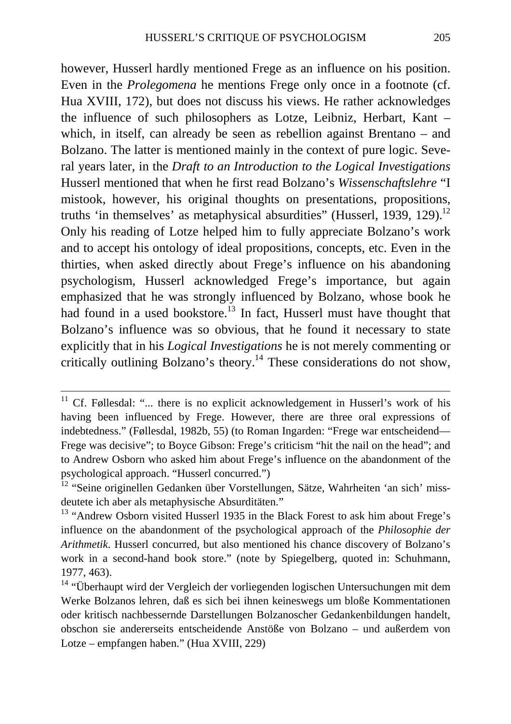however, Husserl hardly mentioned Frege as an influence on his position. Even in the *Prolegomena* he mentions Frege only once in a footnote (cf. Hua XVIII, 172), but does not discuss his views. He rather acknowledges the influence of such philosophers as Lotze, Leibniz, Herbart, Kant – which, in itself, can already be seen as rebellion against Brentano – and Bolzano. The latter is mentioned mainly in the context of pure logic. Several years later, in the *Draft to an Introduction to the Logical Investigations* Husserl mentioned that when he first read Bolzano's *Wissenschaftslehre* "I mistook, however, his original thoughts on presentations, propositions, truths 'in themselves' as metaphysical absurdities" (Husserl, 1939, 129).<sup>12</sup> Only his reading of Lotze helped him to fully appreciate Bolzano's work and to accept his ontology of ideal propositions, concepts, etc. Even in the thirties, when asked directly about Frege's influence on his abandoning psychologism, Husserl acknowledged Frege's importance, but again emphasized that he was strongly influenced by Bolzano, whose book he had found in a used bookstore.<sup>13</sup> In fact, Husserl must have thought that Bolzano's influence was so obvious, that he found it necessary to state explicitly that in his *Logical Investigations* he is not merely commenting or critically outlining Bolzano's theory.<sup>14</sup> These considerations do not show,

<sup>&</sup>lt;sup>11</sup> Cf. Føllesdal: "... there is no explicit acknowledgement in Husserl's work of his having been influenced by Frege. However, there are three oral expressions of indebtedness." (Føllesdal, 1982b, 55) (to Roman Ingarden: "Frege war entscheidend— Frege was decisive"; to Boyce Gibson: Frege's criticism "hit the nail on the head"; and to Andrew Osborn who asked him about Frege's influence on the abandonment of the psychological approach. "Husserl concurred.")

<sup>&</sup>lt;sup>12</sup> "Seine originellen Gedanken über Vorstellungen, Sätze, Wahrheiten 'an sich' missdeutete ich aber als metaphysische Absurditäten."

<sup>&</sup>lt;sup>13</sup> "Andrew Osborn visited Husserl 1935 in the Black Forest to ask him about Frege's influence on the abandonment of the psychological approach of the *Philosophie der Arithmetik*. Husserl concurred, but also mentioned his chance discovery of Bolzano's work in a second-hand book store." (note by Spiegelberg, quoted in: Schuhmann, 1977, 463).

<sup>&</sup>lt;sup>14</sup> "Überhaupt wird der Vergleich der vorliegenden logischen Untersuchungen mit dem Werke Bolzanos lehren, daß es sich bei ihnen keineswegs um bloße Kommentationen oder kritisch nachbessernde Darstellungen Bolzanoscher Gedankenbildungen handelt, obschon sie andererseits entscheidende Anstöße von Bolzano – und außerdem von Lotze – empfangen haben." (Hua XVIII, 229)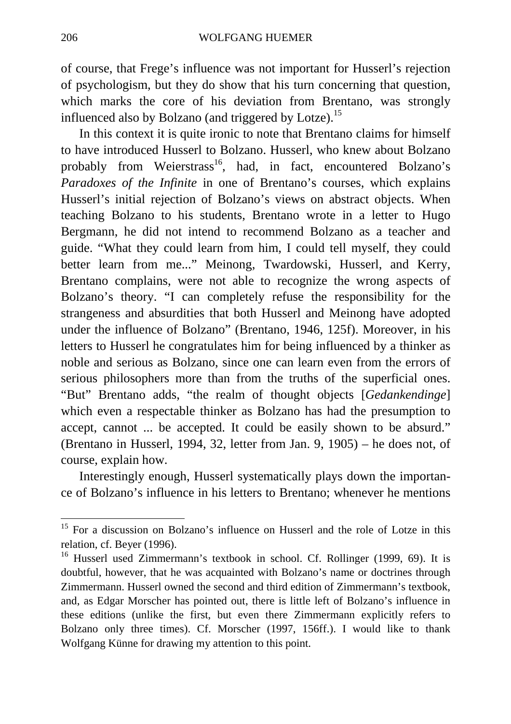of course, that Frege's influence was not important for Husserl's rejection of psychologism, but they do show that his turn concerning that question, which marks the core of his deviation from Brentano, was strongly influenced also by Bolzano (and triggered by Lotze).<sup>15</sup>

In this context it is quite ironic to note that Brentano claims for himself to have introduced Husserl to Bolzano. Husserl, who knew about Bolzano probably from Weierstrass<sup>16</sup>, had, in fact, encountered Bolzano's *Paradoxes of the Infinite* in one of Brentano's courses, which explains Husserl's initial rejection of Bolzano's views on abstract objects. When teaching Bolzano to his students, Brentano wrote in a letter to Hugo Bergmann, he did not intend to recommend Bolzano as a teacher and guide. "What they could learn from him, I could tell myself, they could better learn from me..." Meinong, Twardowski, Husserl, and Kerry, Brentano complains, were not able to recognize the wrong aspects of Bolzano's theory. "I can completely refuse the responsibility for the strangeness and absurdities that both Husserl and Meinong have adopted under the influence of Bolzano" (Brentano, 1946, 125f). Moreover, in his letters to Husserl he congratulates him for being influenced by a thinker as noble and serious as Bolzano, since one can learn even from the errors of serious philosophers more than from the truths of the superficial ones. "But" Brentano adds, "the realm of thought objects [*Gedankendinge*] which even a respectable thinker as Bolzano has had the presumption to accept, cannot ... be accepted. It could be easily shown to be absurd." (Brentano in Husserl, 1994, 32, letter from Jan. 9, 1905) – he does not, of course, explain how.

Interestingly enough, Husserl systematically plays down the importance of Bolzano's influence in his letters to Brentano; whenever he mentions

<sup>&</sup>lt;sup>15</sup> For a discussion on Bolzano's influence on Husserl and the role of Lotze in this relation, cf. Beyer (1996).

<sup>&</sup>lt;sup>16</sup> Husserl used Zimmermann's textbook in school. Cf. Rollinger (1999, 69). It is doubtful, however, that he was acquainted with Bolzano's name or doctrines through Zimmermann. Husserl owned the second and third edition of Zimmermann's textbook, and, as Edgar Morscher has pointed out, there is little left of Bolzano's influence in these editions (unlike the first, but even there Zimmermann explicitly refers to Bolzano only three times). Cf. Morscher (1997, 156ff.). I would like to thank Wolfgang Künne for drawing my attention to this point.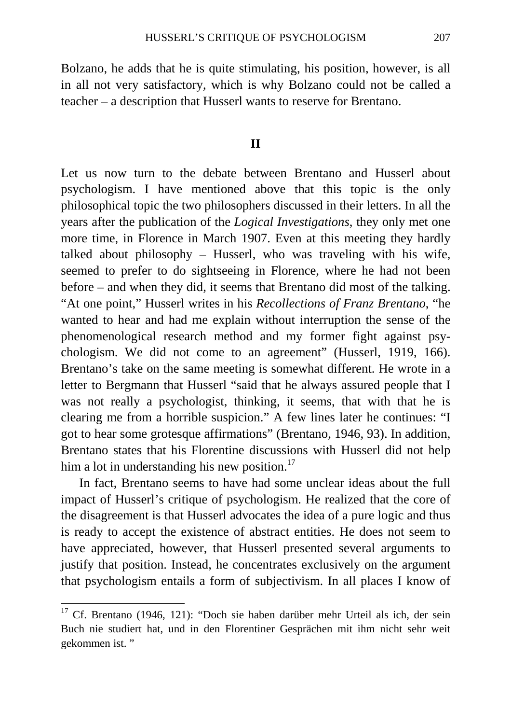Bolzano, he adds that he is quite stimulating, his position, however, is all in all not very satisfactory, which is why Bolzano could not be called a teacher – a description that Husserl wants to reserve for Brentano.

## **II**

Let us now turn to the debate between Brentano and Husserl about psychologism. I have mentioned above that this topic is the only philosophical topic the two philosophers discussed in their letters. In all the years after the publication of the *Logical Investigations*, they only met one more time, in Florence in March 1907. Even at this meeting they hardly talked about philosophy – Husserl, who was traveling with his wife, seemed to prefer to do sightseeing in Florence, where he had not been before – and when they did, it seems that Brentano did most of the talking. "At one point," Husserl writes in his *Recollections of Franz Brentano*, "he wanted to hear and had me explain without interruption the sense of the phenomenological research method and my former fight against psychologism. We did not come to an agreement" (Husserl, 1919, 166). Brentano's take on the same meeting is somewhat different. He wrote in a letter to Bergmann that Husserl "said that he always assured people that I was not really a psychologist, thinking, it seems, that with that he is clearing me from a horrible suspicion." A few lines later he continues: "I got to hear some grotesque affirmations" (Brentano, 1946, 93). In addition, Brentano states that his Florentine discussions with Husserl did not help him a lot in understanding his new position.<sup>17</sup>

In fact, Brentano seems to have had some unclear ideas about the full impact of Husserl's critique of psychologism. He realized that the core of the disagreement is that Husserl advocates the idea of a pure logic and thus is ready to accept the existence of abstract entities. He does not seem to have appreciated, however, that Husserl presented several arguments to justify that position. Instead, he concentrates exclusively on the argument that psychologism entails a form of subjectivism. In all places I know of

<sup>&</sup>lt;sup>17</sup> Cf. Brentano (1946, 121): "Doch sie haben darüber mehr Urteil als ich, der sein Buch nie studiert hat, und in den Florentiner Gesprächen mit ihm nicht sehr weit gekommen ist. "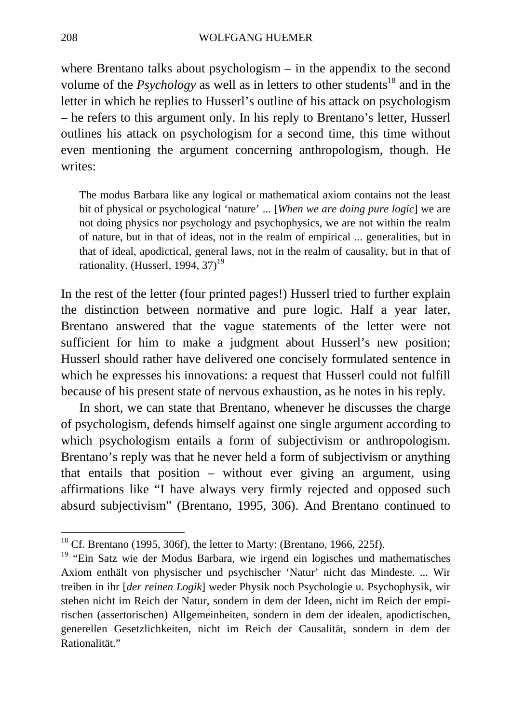where Brentano talks about psychologism – in the appendix to the second volume of the *Psychology* as well as in letters to other students<sup>18</sup> and in the letter in which he replies to Husserl's outline of his attack on psychologism – he refers to this argument only. In his reply to Brentano's letter, Husserl outlines his attack on psychologism for a second time, this time without even mentioning the argument concerning anthropologism, though. He writes:

The modus Barbara like any logical or mathematical axiom contains not the least bit of physical or psychological 'nature' ... [*When we are doing pure logic*] we are not doing physics nor psychology and psychophysics, we are not within the realm of nature, but in that of ideas, not in the realm of empirical ... generalities, but in that of ideal, apodictical, general laws, not in the realm of causality, but in that of rationality. (Husserl, 1994, 37) $19$ 

In the rest of the letter (four printed pages!) Husserl tried to further explain the distinction between normative and pure logic. Half a year later, Brentano answered that the vague statements of the letter were not sufficient for him to make a judgment about Husserl's new position; Husserl should rather have delivered one concisely formulated sentence in which he expresses his innovations: a request that Husserl could not fulfill because of his present state of nervous exhaustion, as he notes in his reply.

In short, we can state that Brentano, whenever he discusses the charge of psychologism, defends himself against one single argument according to which psychologism entails a form of subjectivism or anthropologism. Brentano's reply was that he never held a form of subjectivism or anything that entails that position – without ever giving an argument, using affirmations like "I have always very firmly rejected and opposed such absurd subjectivism" (Brentano, 1995, 306). And Brentano continued to

<sup>&</sup>lt;sup>18</sup> Cf. Brentano (1995, 306f), the letter to Marty: (Brentano, 1966, 225f).

 $19$  "Ein Satz wie der Modus Barbara, wie irgend ein logisches und mathematisches Axiom enthält von physischer und psychischer 'Natur' nicht das Mindeste. ... Wir treiben in ihr [*der reinen Logik*] weder Physik noch Psychologie u. Psychophysik, wir stehen nicht im Reich der Natur, sondern in dem der Ideen, nicht im Reich der empirischen (assertorischen) Allgemeinheiten, sondern in dem der idealen, apodictischen, generellen Gesetzlichkeiten, nicht im Reich der Causalität, sondern in dem der Rationalität."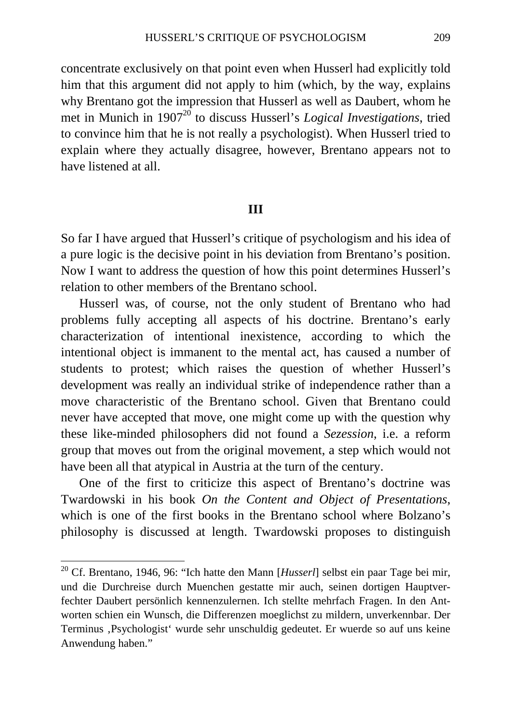concentrate exclusively on that point even when Husserl had explicitly told him that this argument did not apply to him (which, by the way, explains why Brentano got the impression that Husserl as well as Daubert, whom he met in Munich in 190720 to discuss Husserl's *Logical Investigations*, tried to convince him that he is not really a psychologist). When Husserl tried to explain where they actually disagree, however, Brentano appears not to have listened at all.

## **III**

So far I have argued that Husserl's critique of psychologism and his idea of a pure logic is the decisive point in his deviation from Brentano's position. Now I want to address the question of how this point determines Husserl's relation to other members of the Brentano school.

Husserl was, of course, not the only student of Brentano who had problems fully accepting all aspects of his doctrine. Brentano's early characterization of intentional inexistence, according to which the intentional object is immanent to the mental act, has caused a number of students to protest; which raises the question of whether Husserl's development was really an individual strike of independence rather than a move characteristic of the Brentano school. Given that Brentano could never have accepted that move, one might come up with the question why these like-minded philosophers did not found a *Sezession*, i.e. a reform group that moves out from the original movement, a step which would not have been all that atypical in Austria at the turn of the century.

One of the first to criticize this aspect of Brentano's doctrine was Twardowski in his book *On the Content and Object of Presentations*, which is one of the first books in the Brentano school where Bolzano's philosophy is discussed at length. Twardowski proposes to distinguish

<sup>20</sup> Cf. Brentano, 1946, 96: "Ich hatte den Mann [*Husserl*] selbst ein paar Tage bei mir, und die Durchreise durch Muenchen gestatte mir auch, seinen dortigen Hauptverfechter Daubert persönlich kennenzulernen. Ich stellte mehrfach Fragen. In den Antworten schien ein Wunsch, die Differenzen moeglichst zu mildern, unverkennbar. Der Terminus , Psychologist' wurde sehr unschuldig gedeutet. Er wuerde so auf uns keine Anwendung haben."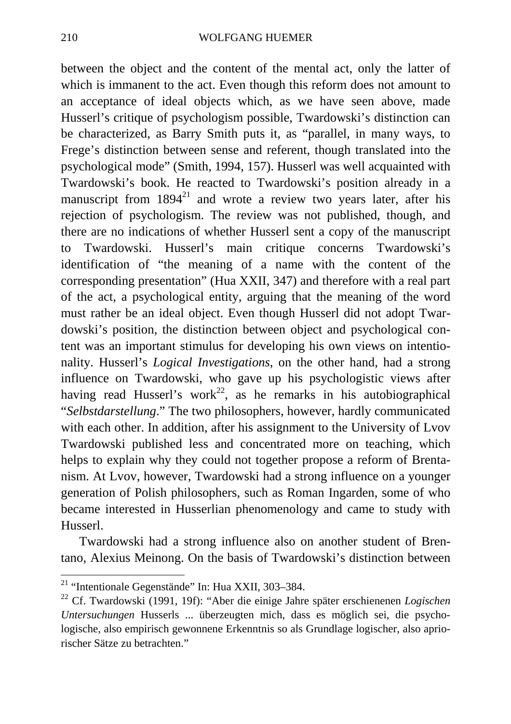between the object and the content of the mental act, only the latter of which is immanent to the act. Even though this reform does not amount to an acceptance of ideal objects which, as we have seen above, made Husserl's critique of psychologism possible, Twardowski's distinction can be characterized, as Barry Smith puts it, as "parallel, in many ways, to Frege's distinction between sense and referent, though translated into the psychological mode" (Smith, 1994, 157). Husserl was well acquainted with Twardowski's book. He reacted to Twardowski's position already in a manuscript from  $1894<sup>21</sup>$  and wrote a review two years later, after his rejection of psychologism. The review was not published, though, and there are no indications of whether Husserl sent a copy of the manuscript to Twardowski. Husserl's main critique concerns Twardowski's identification of "the meaning of a name with the content of the corresponding presentation" (Hua XXII, 347) and therefore with a real part of the act, a psychological entity, arguing that the meaning of the word must rather be an ideal object. Even though Husserl did not adopt Twardowski's position, the distinction between object and psychological content was an important stimulus for developing his own views on intentionality. Husserl's *Logical Investigations*, on the other hand, had a strong influence on Twardowski, who gave up his psychologistic views after having read Husserl's work<sup>22</sup>, as he remarks in his autobiographical "*Selbstdarstellung*." The two philosophers, however, hardly communicated with each other. In addition, after his assignment to the University of Lvov Twardowski published less and concentrated more on teaching, which helps to explain why they could not together propose a reform of Brentanism. At Lvov, however, Twardowski had a strong influence on a younger generation of Polish philosophers, such as Roman Ingarden, some of who became interested in Husserlian phenomenology and came to study with Husserl.

Twardowski had a strong influence also on another student of Brentano, Alexius Meinong. On the basis of Twardowski's distinction between

 $21$  "Intentionale Gegenstände" In: Hua XXII, 303–384.

<sup>22</sup> Cf. Twardowski (1991, 19f): "Aber die einige Jahre später erschienenen *Logischen Untersuchungen* Husserls ... überzeugten mich, dass es möglich sei, die psychologische, also empirisch gewonnene Erkenntnis so als Grundlage logischer, also apriorischer Sätze zu betrachten."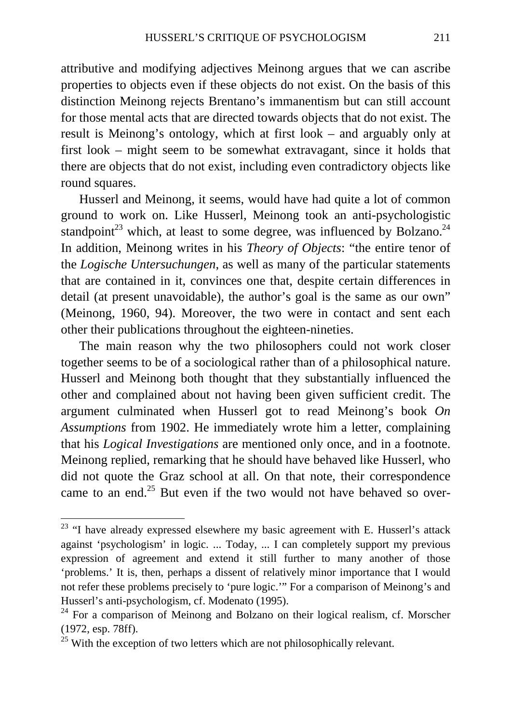attributive and modifying adjectives Meinong argues that we can ascribe properties to objects even if these objects do not exist. On the basis of this distinction Meinong rejects Brentano's immanentism but can still account for those mental acts that are directed towards objects that do not exist. The result is Meinong's ontology, which at first look – and arguably only at first look – might seem to be somewhat extravagant, since it holds that there are objects that do not exist, including even contradictory objects like round squares.

Husserl and Meinong, it seems, would have had quite a lot of common ground to work on. Like Husserl, Meinong took an anti-psychologistic standpoint<sup>23</sup> which, at least to some degree, was influenced by Bolzano.<sup>24</sup> In addition, Meinong writes in his *Theory of Objects*: "the entire tenor of the *Logische Untersuchungen*, as well as many of the particular statements that are contained in it, convinces one that, despite certain differences in detail (at present unavoidable), the author's goal is the same as our own" (Meinong, 1960, 94). Moreover, the two were in contact and sent each other their publications throughout the eighteen-nineties.

The main reason why the two philosophers could not work closer together seems to be of a sociological rather than of a philosophical nature. Husserl and Meinong both thought that they substantially influenced the other and complained about not having been given sufficient credit. The argument culminated when Husserl got to read Meinong's book *On Assumptions* from 1902. He immediately wrote him a letter, complaining that his *Logical Investigations* are mentioned only once, and in a footnote. Meinong replied, remarking that he should have behaved like Husserl, who did not quote the Graz school at all. On that note, their correspondence came to an end.<sup>25</sup> But even if the two would not have behaved so over-

 $23$  "I have already expressed elsewhere my basic agreement with E. Husserl's attack against 'psychologism' in logic. ... Today, ... I can completely support my previous expression of agreement and extend it still further to many another of those 'problems.' It is, then, perhaps a dissent of relatively minor importance that I would not refer these problems precisely to 'pure logic.'" For a comparison of Meinong's and Husserl's anti-psychologism, cf. Modenato (1995).

 $^{24}$  For a comparison of Meinong and Bolzano on their logical realism, cf. Morscher (1972, esp. 78ff).

 $25$  With the exception of two letters which are not philosophically relevant.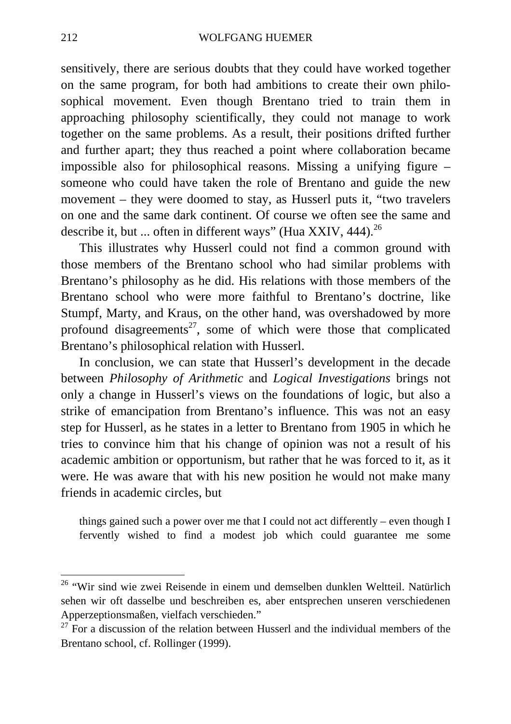sensitively, there are serious doubts that they could have worked together on the same program, for both had ambitions to create their own philosophical movement. Even though Brentano tried to train them in approaching philosophy scientifically, they could not manage to work together on the same problems. As a result, their positions drifted further and further apart; they thus reached a point where collaboration became impossible also for philosophical reasons. Missing a unifying figure – someone who could have taken the role of Brentano and guide the new movement – they were doomed to stay, as Husserl puts it, "two travelers on one and the same dark continent. Of course we often see the same and describe it, but ... often in different ways" (Hua XXIV, 444).<sup>26</sup>

This illustrates why Husserl could not find a common ground with those members of the Brentano school who had similar problems with Brentano's philosophy as he did. His relations with those members of the Brentano school who were more faithful to Brentano's doctrine, like Stumpf, Marty, and Kraus, on the other hand, was overshadowed by more profound disagreements<sup>27</sup>, some of which were those that complicated Brentano's philosophical relation with Husserl.

In conclusion, we can state that Husserl's development in the decade between *Philosophy of Arithmetic* and *Logical Investigations* brings not only a change in Husserl's views on the foundations of logic, but also a strike of emancipation from Brentano's influence. This was not an easy step for Husserl, as he states in a letter to Brentano from 1905 in which he tries to convince him that his change of opinion was not a result of his academic ambition or opportunism, but rather that he was forced to it, as it were. He was aware that with his new position he would not make many friends in academic circles, but

things gained such a power over me that I could not act differently – even though I fervently wished to find a modest job which could guarantee me some

<sup>&</sup>lt;sup>26</sup> "Wir sind wie zwei Reisende in einem und demselben dunklen Weltteil. Natürlich sehen wir oft dasselbe und beschreiben es, aber entsprechen unseren verschiedenen Apperzeptionsmaßen, vielfach verschieden."

 $27$  For a discussion of the relation between Husserl and the individual members of the Brentano school, cf. Rollinger (1999).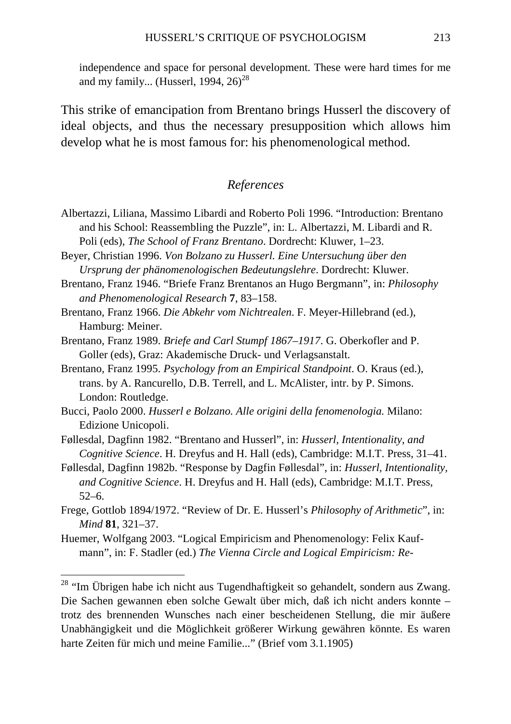independence and space for personal development. These were hard times for me and my family... (Husserl, 1994,  $26$ )<sup>28</sup>

This strike of emancipation from Brentano brings Husserl the discovery of ideal objects, and thus the necessary presupposition which allows him develop what he is most famous for: his phenomenological method.

## *References*

Albertazzi, Liliana, Massimo Libardi and Roberto Poli 1996. "Introduction: Brentano and his School: Reassembling the Puzzle", in: L. Albertazzi, M. Libardi and R. Poli (eds), *The School of Franz Brentano*. Dordrecht: Kluwer, 1–23.

Beyer, Christian 1996. *Von Bolzano zu Husserl. Eine Untersuchung über den Ursprung der phänomenologischen Bedeutungslehre*. Dordrecht: Kluwer.

- Brentano, Franz 1946. "Briefe Franz Brentanos an Hugo Bergmann", in: *Philosophy and Phenomenological Research* **7**, 83–158.
- Brentano, Franz 1966. *Die Abkehr vom Nichtrealen*. F. Meyer-Hillebrand (ed.), Hamburg: Meiner.
- Brentano, Franz 1989. *Briefe and Carl Stumpf 1867*–*1917*. G. Oberkofler and P. Goller (eds), Graz: Akademische Druck- und Verlagsanstalt.
- Brentano, Franz 1995. *Psychology from an Empirical Standpoint*. O. Kraus (ed.), trans. by A. Rancurello, D.B. Terrell, and L. McAlister, intr. by P. Simons. London: Routledge.
- Bucci, Paolo 2000. *Husserl e Bolzano. Alle origini della fenomenologia.* Milano: Edizione Unicopoli.
- Føllesdal, Dagfinn 1982. "Brentano and Husserl", in: *Husserl, Intentionality, and Cognitive Science*. H. Dreyfus and H. Hall (eds), Cambridge: M.I.T. Press, 31–41.
- Føllesdal, Dagfinn 1982b. "Response by Dagfin Føllesdal", in: *Husserl, Intentionality, and Cognitive Science*. H. Dreyfus and H. Hall (eds), Cambridge: M.I.T. Press, 52–6.
- Frege, Gottlob 1894/1972. "Review of Dr. E. Husserl's *Philosophy of Arithmetic*", in: *Mind* **81**, 321–37.
- Huemer, Wolfgang 2003. "Logical Empiricism and Phenomenology: Felix Kaufmann", in: F. Stadler (ed.) *The Vienna Circle and Logical Empiricism: Re-*

<sup>&</sup>lt;sup>28</sup> "Im Übrigen habe ich nicht aus Tugendhaftigkeit so gehandelt, sondern aus Zwang. Die Sachen gewannen eben solche Gewalt über mich, daß ich nicht anders konnte – trotz des brennenden Wunsches nach einer bescheidenen Stellung, die mir äußere Unabhängigkeit und die Möglichkeit größerer Wirkung gewähren könnte. Es waren harte Zeiten für mich und meine Familie..." (Brief vom 3.1.1905)